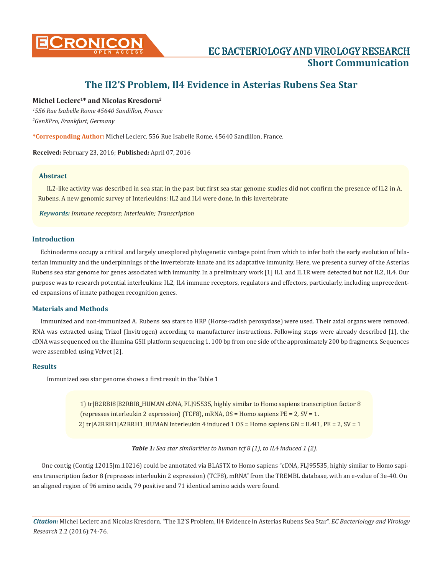

# **The Il2'S Problem, Il4 Evidence in Asterias Rubens Sea Star**

# **Michel Leclerc1\* and Nicolas Kresdorn2**

*1 556 Rue Isabelle Rome 45640 Sandillon, France 2 GenXPro, Frankfurt, Germany*

**\*Corresponding Author:** Michel Leclerc, 556 Rue Isabelle Rome, 45640 Sandillon, France.

**Received:** February 23, 2016; **Published:** April 07, 2016

## **Abstract**

IL2-like activity was described in sea star, in the past but first sea star genome studies did not confirm the presence of IL2 in A. Rubens. A new genomic survey of Interleukins: IL2 and IL4 were done, in this invertebrate

*Keywords: Immune receptors; Interleukin; Transcription*

## **Introduction**

Echinoderms occupy a critical and largely unexplored phylogenetic vantage point from which to infer both the early evolution of bilaterian immunity and the underpinnings of the invertebrate innate and its adaptative immunity. Here, we present a survey of the Asterias Rubens sea star genome for genes associated with immunity. In a preliminary work [1] IL1 and IL1R were detected but not IL2, IL4. Our purpose was to research potential interleukins: IL2, IL4 immune receptors, regulators and effectors, particularly, including unprecedented expansions of innate pathogen recognition genes.

#### **Materials and Methods**

Immunized and non-immunized A. Rubens sea stars to HRP (Horse-radish peroxydase) were used. Their axial organs were removed. RNA was extracted using Trizol (Invitrogen) according to manufacturer instructions. Following steps were already described [1], the cDNA was sequenced on the illumina GSII platform sequencing 1. 100 bp from one side of the approximately 200 bp fragments. Sequences were assembled using Velvet [2].

#### **Results**

Immunized sea star genome shows a first result in the Table 1

 1) tr|B2RBI8|B2RBI8\_HUMAN cDNA, FLJ95535, highly similar to Homo sapiens transcription factor 8 (represses interleukin 2 expression) (TCF8), mRNA, OS = Homo sapiens PE = 2, SV = 1. 2) tr|A2RRH1|A2RRH1\_HUMAN Interleukin 4 induced 1 OS = Homo sapiens GN = IL4I1, PE = 2, SV = 1

*Table 1: Sea star similarities to human tcf 8 (1), to IL4 induced 1 (2).*

One contig (Contig 12015|m.10216) could be annotated via BLASTX to Homo sapiens "cDNA, FLJ95535, highly similar to Homo sapiens transcription factor 8 (represses interleukin 2 expression) (TCF8), mRNA" from the TREMBL database, with an e-value of 3e-40. On an aligned region of 96 amino acids, 79 positive and 71 identical amino acids were found.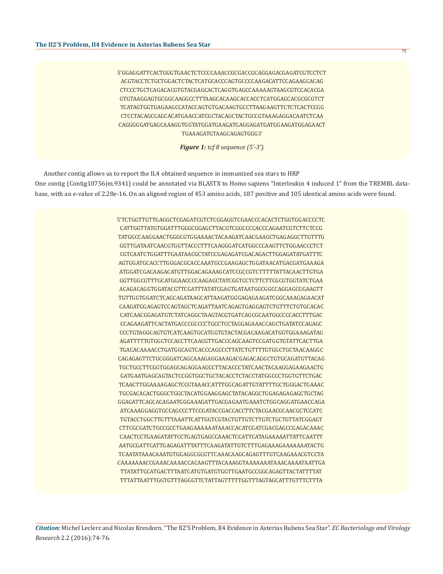5'GGAGGATTCACTGGGTGAACTCTCCCCAAACCGCGACCGCAGGAGACGAGATCGTCCTCT ACGTACCTCTGCTGGACTCTACTCATGCACCCAGTGCCCCAAGACATTCCAGAAGCACAG CTCCCTGCTCAGACACGTGTACGAGCACTCAGGTGAGCCAAAAAGTAAGCGTCCACACGA GTGTAAGGAGTGCGGCAAGGCCTTTAAGCACAAGCACCACCTCATGGAGCACGCGCGTCT TCATAGTGGTGAGAAGCCATACCAGTGTGACAAGTGCCTTAAGAAGTTCTCTCACTCCGG CTCCTACAGCCAGCACATGAACCATCGCTACAGCTACTGCCGTAAAGAGGACAATCTCAA CAGGGGGATGAGCAAAGGTGGTATGGATGAAGATGAGGAGATGATGGAAGATGGAGAACT TGAAAGATGTAAGCAGAGTGGG3'

*Figure 1: tcf 8 sequence (5'-3').*

Another contig allows us to report the IL4 obtained sequence in immunized sea stars to HRP One contig (Contig10756|m.9341) could be annotated via BLASTX to Homo sapiens "Interleukin 4 induced 1" from the TREMBL database, with an e-value of 2.28e-16. On an aligned region of 453 amino acids, 187 positive and 105 identical amino acids were found.

> 5'TCTGGTTGTTGAGGCTCGAGATCGTCTCGGAGGTCGAACCCACACTCTGGTGGACCCCTC CATTGGTTATGTGGATTTGGGCGGAGCTTACGTCGGCCCCACCCAGAATCGTCTTCTCCG TATGGCCAAGGAACTGGGCGTGGAAAACTACAAGATCAACGAAGCTGAGAGGCTTGTTTG GGTTGATAATCAACGTGGTTACCCTTTCAAGGGATCATGGCCCAAGTTCTGGAACCCTCT CGTCAATCTGGATTTGAATAACGCTATCCGAGAGATCGACAGACTTGGAGATATGATTTC AGTGGATGCACCTTGGGACGCACCAAATGCCGAAGAGCTGGATAACATGACGATGAAAGA ATGGATCGACAAGACATGTTGGACAGAAAGCATCCGCCGTCTTTTTATTACAACTTGTGA GGTTGGCGTTTGCATGGAACCCCAAGAGCTATCGGTCCTCTTCTTCGCGTGGTATCTGAA ACAGACAGGTGGATACGTTCGATTTATATCGAGTGATAATGGCGGCCAGGAGCGGAAGTT TGTTGGTGGATCTCAGCAGATAAGCATTAAGATGGGAGAGAAGATCGGCAAAGAGAACAT CAAGATGGAGAGTCCAGTAGCTCAGATTAATCAGAGTGAGGAGTCTGTTTCTGTGCACAC CATCAACGGAGATGTCTATCAGGCTAAGTACGTGATCAGCGCAATGGCCCCACCTTTGAC CCAGAAGATTCACTATGACCCGCCCCTGCCTCCTAGGAGAAACCAGCTGATATCCAGAGC CCCTGTAGGCAGTGTCATCAAGTGCATGGTGTACTACGACAAGACATGGTGGAAAGATAG AGATTTTTGTGGCTCCACCTTCAACGTTGACCCAGCAAGTCCGATGGTGTATTCACTTGA TGACACAAAACCTGATGGCAGTCACCCAGCCCTTATCTGTTTTGTGGCTGCTAACAAGGC CAGAGAGTTCTGCGGGATCAGCAAAGAGGAAAGACGAGACAGGCTGTGCAGATGTTACAG TGCTGCCTTCGGTGGAGCAGAGGAAGCCTTACACCCTATCAACTACAAGGAGAAGAACTG GATGAATGAGCAGTACTCCGGTGGCTGCTACACCTCTACCTATGGCCCTGGTGTTCTGAC TCAACTTGGAAAAGAGCTCCGTAAACCATTTGGCAGATTGTATTTTGCTGGGACTGAAAC TGCGACACACTGGGCTGGCTACATGGAAGGAGCTATACAGGCTGGAGAGAGAGCTGCTAG GGAGATTCAGCACAGAATGGGAAAGATTGACGAGAATGAAATCTGGCAGGATGAACCAGA ATCAAAGGAGGTGCCAGCCCTTCCGATACCGACCACCTTCTACGAACGCAACGCTCCATC TGTACCTGGCTTGTTTAAATTCATTGGTCGTACTGTTGTCTTGTCTGCTGTTATCGGAGT CTTCGCGATCTGCCGCCTGAAGAAAAAATAAACCACATCGATCGACGAGCCGAGACAAAC CAACTCCTGAAGATATTCCTGAGTGAGCCAAACTCCATTCATAGAAAAATTATTCAATTT AATGCGATTCATTGAGAGATTTATTTCAAGATATTGTCTTTGAGAAAGAAAAAAATACTG TCAATATAAACAAATGTGGAGGCGCGTTCAAACAAGCAGAGTTTGTCAAGAAACGTCCTA CAAAAAAACCGAAACAAAACCACAAGTTTACAAAGGTAAAAAAATAAACAAAATAATTGA TTATATTGCATGACTTTAATCATGTGATGTGGTTGAATGCCGGCAGAGTTACTATTTTAT TTTATTAATTTGGTGTTTAGGGTTCTATTAGTTTTTGGTTTAGTAGCATTTGTTTCTTTA

75